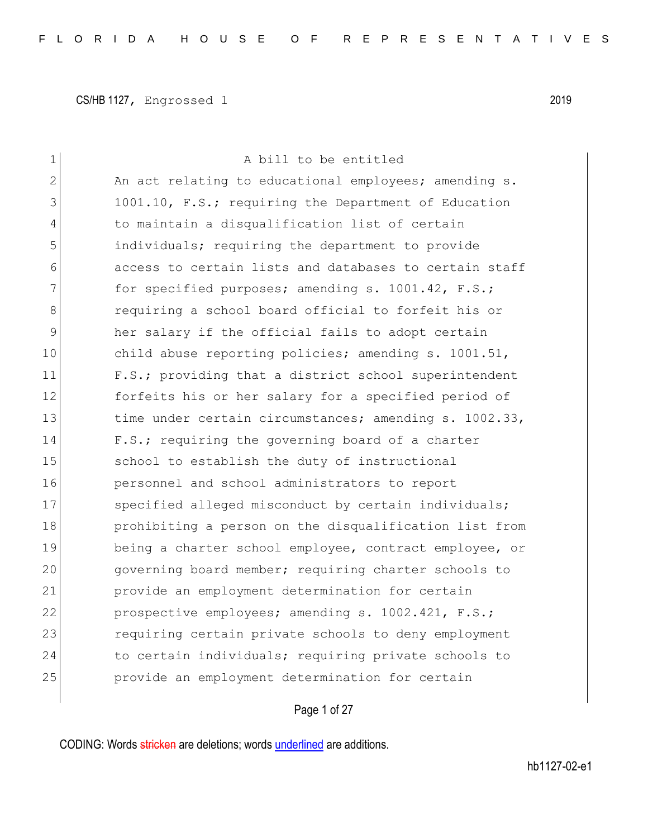| 1  | A bill to be entitled                                  |
|----|--------------------------------------------------------|
| 2  | An act relating to educational employees; amending s.  |
| 3  | 1001.10, F.S.; requiring the Department of Education   |
| 4  | to maintain a disqualification list of certain         |
| 5  | individuals; requiring the department to provide       |
| 6  | access to certain lists and databases to certain staff |
| 7  | for specified purposes; amending s. 1001.42, F.S.;     |
| 8  | requiring a school board official to forfeit his or    |
| 9  | her salary if the official fails to adopt certain      |
| 10 | child abuse reporting policies; amending s. 1001.51,   |
| 11 | F.S.; providing that a district school superintendent  |
| 12 | forfeits his or her salary for a specified period of   |
| 13 | time under certain circumstances; amending s. 1002.33, |
| 14 | F.S.; requiring the governing board of a charter       |
| 15 | school to establish the duty of instructional          |
| 16 | personnel and school administrators to report          |
| 17 | specified alleged misconduct by certain individuals;   |
| 18 | prohibiting a person on the disqualification list from |
| 19 | being a charter school employee, contract employee, or |
| 20 | governing board member; requiring charter schools to   |
| 21 | provide an employment determination for certain        |
| 22 | prospective employees; amending s. 1002.421, F.S.;     |
| 23 | requiring certain private schools to deny employment   |
| 24 | to certain individuals; requiring private schools to   |
| 25 | provide an employment determination for certain        |
|    |                                                        |

Page 1 of 27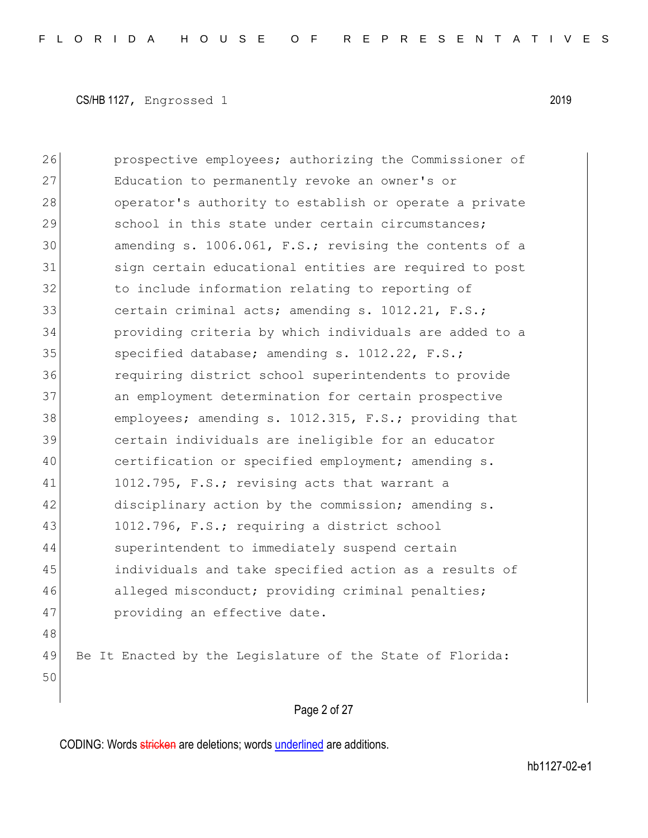26 **prospective employees;** authorizing the Commissioner of 27 Education to permanently revoke an owner's or 28 operator's authority to establish or operate a private 29 3 school in this state under certain circumstances; 30 amending s. 1006.061, F.S.; revising the contents of a 31 sign certain educational entities are required to post 32 to include information relating to reporting of 33 certain criminal acts; amending s. 1012.21, F.S.; 34 providing criteria by which individuals are added to a 35 specified database; amending s. 1012.22, F.S.; 36 requiring district school superintendents to provide 37 an employment determination for certain prospective 38 employees; amending s. 1012.315, F.S.; providing that 39 certain individuals are ineligible for an educator 40 certification or specified employment; amending s. 41 1012.795, F.S.; revising acts that warrant a 42 disciplinary action by the commission; amending s. 43 1012.796, F.S.; requiring a district school 44 superintendent to immediately suspend certain 45 individuals and take specified action as a results of 46 alleged misconduct; providing criminal penalties; 47 **providing an effective date.** 48 49 Be It Enacted by the Legislature of the State of Florida: 50

Page 2 of 27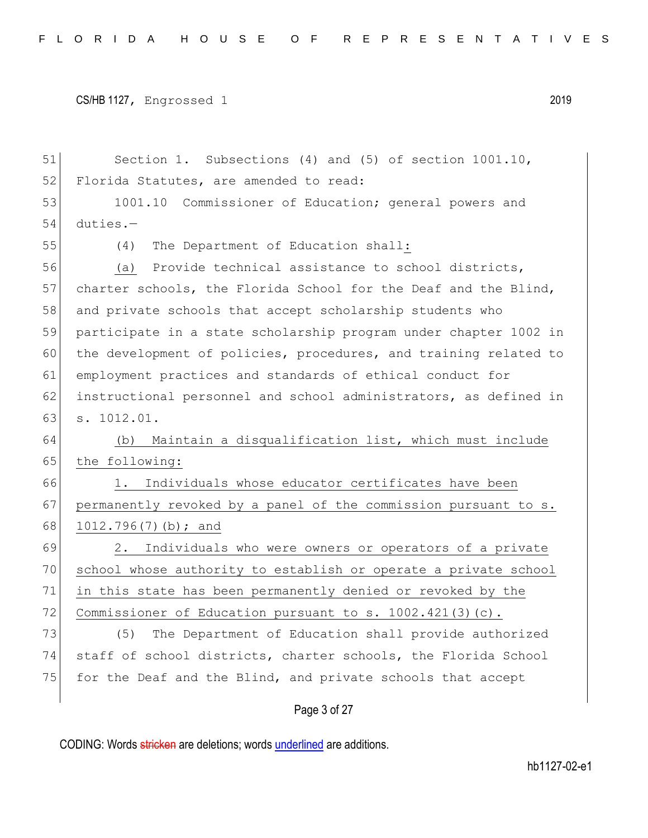51 Section 1. Subsections (4) and (5) of section 1001.10, 52 Florida Statutes, are amended to read: 53 1001.10 Commissioner of Education; general powers and 54 duties.— 55 (4) The Department of Education shall: 56 (a) Provide technical assistance to school districts, 57 charter schools, the Florida School for the Deaf and the Blind, 58 and private schools that accept scholarship students who 59 participate in a state scholarship program under chapter 1002 in 60 the development of policies, procedures, and training related to 61 employment practices and standards of ethical conduct for 62 instructional personnel and school administrators, as defined in 63 s. 1012.01. 64 (b) Maintain a disqualification list, which must include 65 the following: 66 1. Individuals whose educator certificates have been 67 permanently revoked by a panel of the commission pursuant to s. 68 1012.796(7)(b); and 69 2. Individuals who were owners or operators of a private 70 school whose authority to establish or operate a private school 71 in this state has been permanently denied or revoked by the 72 Commissioner of Education pursuant to s. 1002.421(3)(c). 73 (5) The Department of Education shall provide authorized 74 staff of school districts, charter schools, the Florida School 75 for the Deaf and the Blind, and private schools that accept

Page 3 of 27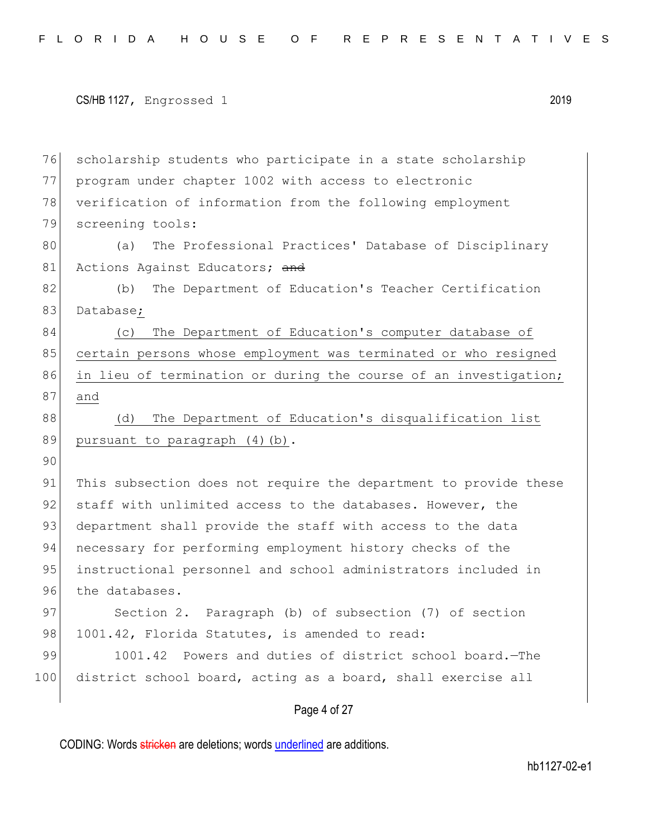```
CS/HB 1127, Engrossed 1 2019
```
76 scholarship students who participate in a state scholarship 77 program under chapter 1002 with access to electronic 78 verification of information from the following employment 79 screening tools: 80 (a) The Professional Practices' Database of Disciplinary 81 Actions Against Educators; and 82 (b) The Department of Education's Teacher Certification 83 Database; 84 (c) The Department of Education's computer database of 85 certain persons whose employment was terminated or who resigned 86 in lieu of termination or during the course of an investigation; 87 and 88 (d) The Department of Education's disqualification list 89 pursuant to paragraph (4)(b). 90 91 This subsection does not require the department to provide these 92 staff with unlimited access to the databases. However, the 93 department shall provide the staff with access to the data 94 necessary for performing employment history checks of the 95 instructional personnel and school administrators included in 96 the databases. 97 Section 2. Paragraph (b) of subsection (7) of section 98 1001.42, Florida Statutes, is amended to read: 99 1001.42 Powers and duties of district school board.—The 100 district school board, acting as a board, shall exercise all

Page 4 of 27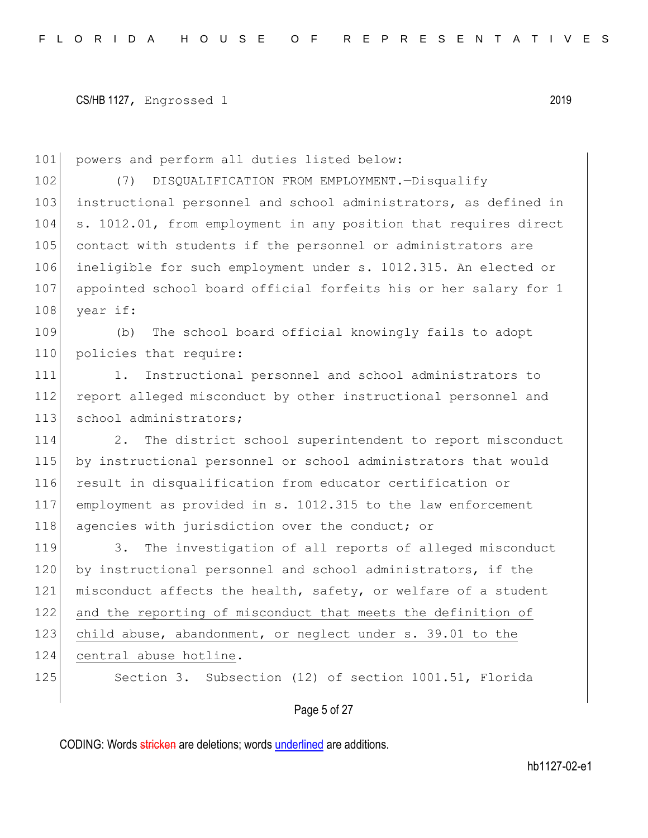101 powers and perform all duties listed below:

102 (7) DISQUALIFICATION FROM EMPLOYMENT.—Disqualify 103 instructional personnel and school administrators, as defined in 104 s. 1012.01, from employment in any position that requires direct 105 contact with students if the personnel or administrators are 106 ineligible for such employment under s. 1012.315. An elected or 107 appointed school board official forfeits his or her salary for 1 108 year if:

109 (b) The school board official knowingly fails to adopt 110 policies that require:

111 1. Instructional personnel and school administrators to 112 report alleged misconduct by other instructional personnel and 113 school administrators;

114 2. The district school superintendent to report misconduct 115 by instructional personnel or school administrators that would 116 result in disqualification from educator certification or 117 employment as provided in s. 1012.315 to the law enforcement 118 agencies with jurisdiction over the conduct; or

119 3. The investigation of all reports of alleged misconduct 120 by instructional personnel and school administrators, if the 121 misconduct affects the health, safety, or welfare of a student 122 and the reporting of misconduct that meets the definition of 123 child abuse, abandonment, or neglect under s. 39.01 to the 124 central abuse hotline.

125 Section 3. Subsection (12) of section 1001.51, Florida

Page 5 of 27

CODING: Words stricken are deletions; words underlined are additions.

hb1127-02-e1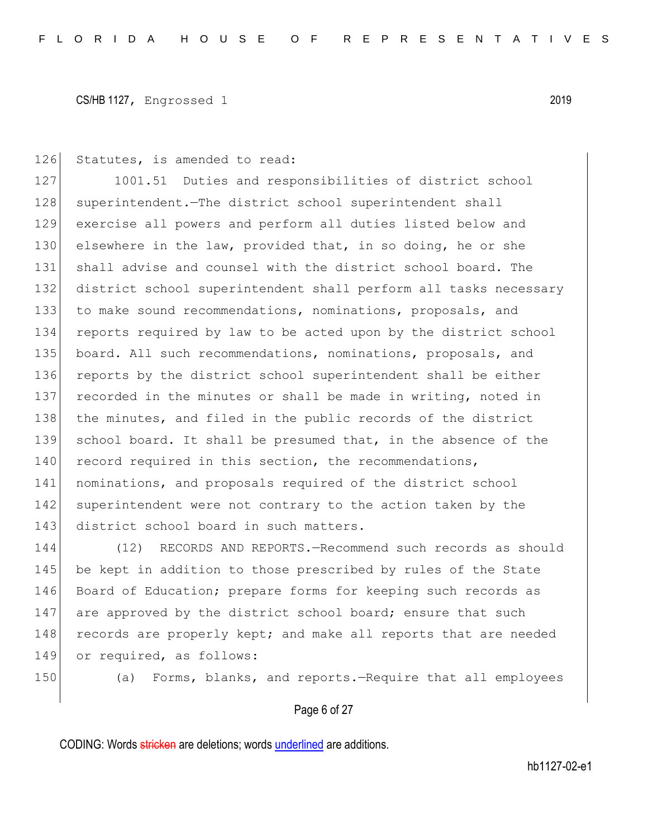126 Statutes, is amended to read:

127 1001.51 Duties and responsibilities of district school 128 superintendent. The district school superintendent shall 129 exercise all powers and perform all duties listed below and 130 elsewhere in the law, provided that, in so doing, he or she 131 shall advise and counsel with the district school board. The 132 district school superintendent shall perform all tasks necessary 133 to make sound recommendations, nominations, proposals, and 134 reports required by law to be acted upon by the district school 135 board. All such recommendations, nominations, proposals, and 136 reports by the district school superintendent shall be either 137 recorded in the minutes or shall be made in writing, noted in 138 the minutes, and filed in the public records of the district 139 school board. It shall be presumed that, in the absence of the 140 record required in this section, the recommendations, 141 nominations, and proposals required of the district school 142 superintendent were not contrary to the action taken by the 143 district school board in such matters.

144 (12) RECORDS AND REPORTS.—Recommend such records as should 145 be kept in addition to those prescribed by rules of the State 146 Board of Education; prepare forms for keeping such records as 147 are approved by the district school board; ensure that such 148 records are properly kept; and make all reports that are needed 149 or required, as follows:

150 (a) Forms, blanks, and reports.—Require that all employees

## Page 6 of 27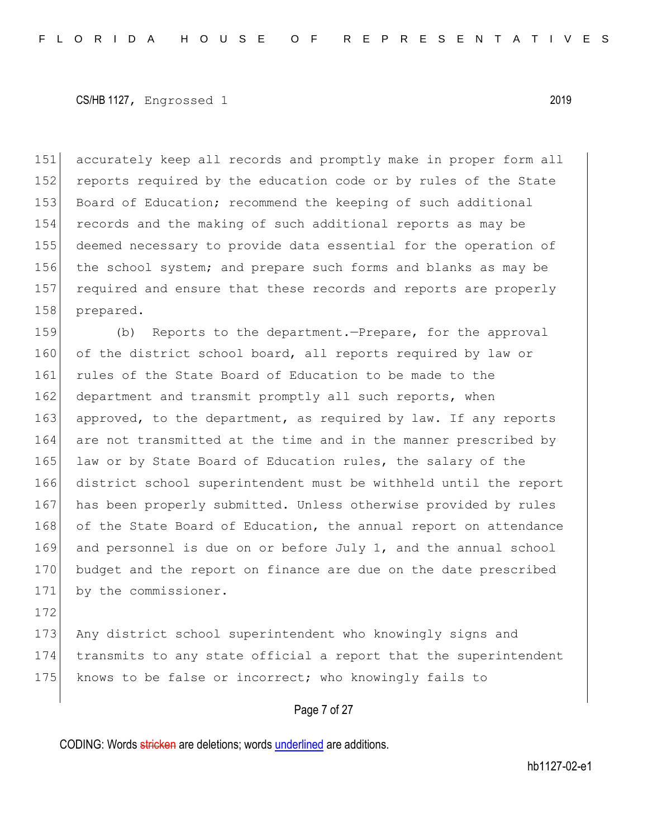accurately keep all records and promptly make in proper form all 152 reports required by the education code or by rules of the State 153 Board of Education; recommend the keeping of such additional records and the making of such additional reports as may be deemed necessary to provide data essential for the operation of the school system; and prepare such forms and blanks as may be 157 required and ensure that these records and reports are properly prepared.

159 (b) Reports to the department.—Prepare, for the approval 160 of the district school board, all reports required by law or 161 rules of the State Board of Education to be made to the 162 department and transmit promptly all such reports, when 163 approved, to the department, as required by law. If any reports 164 are not transmitted at the time and in the manner prescribed by 165 law or by State Board of Education rules, the salary of the 166 district school superintendent must be withheld until the report 167 has been properly submitted. Unless otherwise provided by rules 168 of the State Board of Education, the annual report on attendance 169 and personnel is due on or before July 1, and the annual school 170 budget and the report on finance are due on the date prescribed 171 by the commissioner.

172

173 Any district school superintendent who knowingly signs and 174 transmits to any state official a report that the superintendent 175 knows to be false or incorrect; who knowingly fails to

#### Page 7 of 27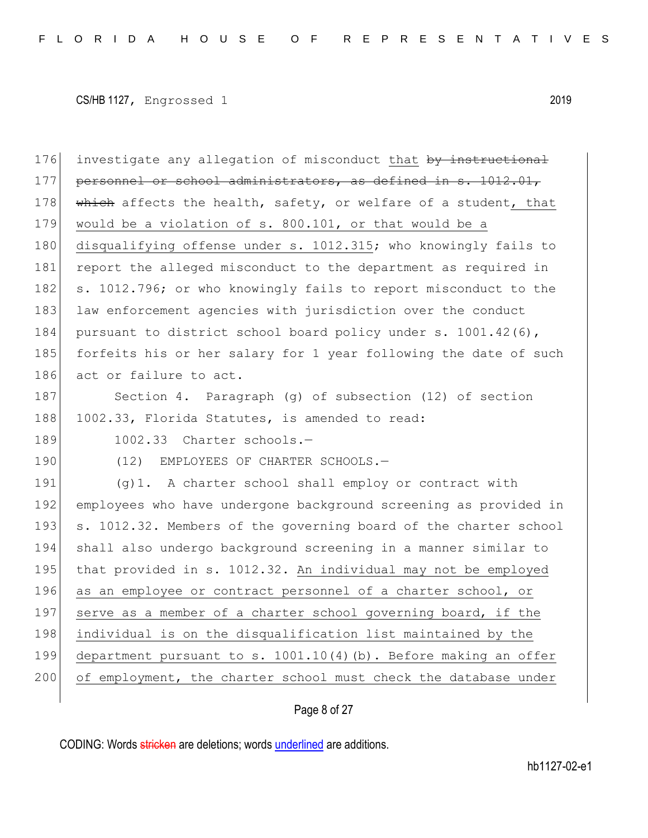176 investigate any allegation of misconduct that by instructional 177 personnel or school administrators, as defined in s. 1012.01, 178 which affects the health, safety, or welfare of a student, that 179 would be a violation of s. 800.101, or that would be a 180 disqualifying offense under s. 1012.315; who knowingly fails to 181 report the alleged misconduct to the department as required in 182 s. 1012.796; or who knowingly fails to report misconduct to the 183 law enforcement agencies with jurisdiction over the conduct 184 pursuant to district school board policy under s. 1001.42(6), 185 forfeits his or her salary for 1 year following the date of such 186 act or failure to act. 187 Section 4. Paragraph (g) of subsection (12) of section 188 1002.33, Florida Statutes, is amended to read: 189 1002.33 Charter schools.-190 (12) EMPLOYEES OF CHARTER SCHOOLS.-191 (g)1. A charter school shall employ or contract with 192 employees who have undergone background screening as provided in 193 s. 1012.32. Members of the governing board of the charter school 194 shall also undergo background screening in a manner similar to 195 that provided in s. 1012.32. An individual may not be employed 196 as an employee or contract personnel of a charter school, or 197 serve as a member of a charter school governing board, if the 198 individual is on the disqualification list maintained by the 199 department pursuant to s. 1001.10(4)(b). Before making an offer 200 of employment, the charter school must check the database under

## Page 8 of 27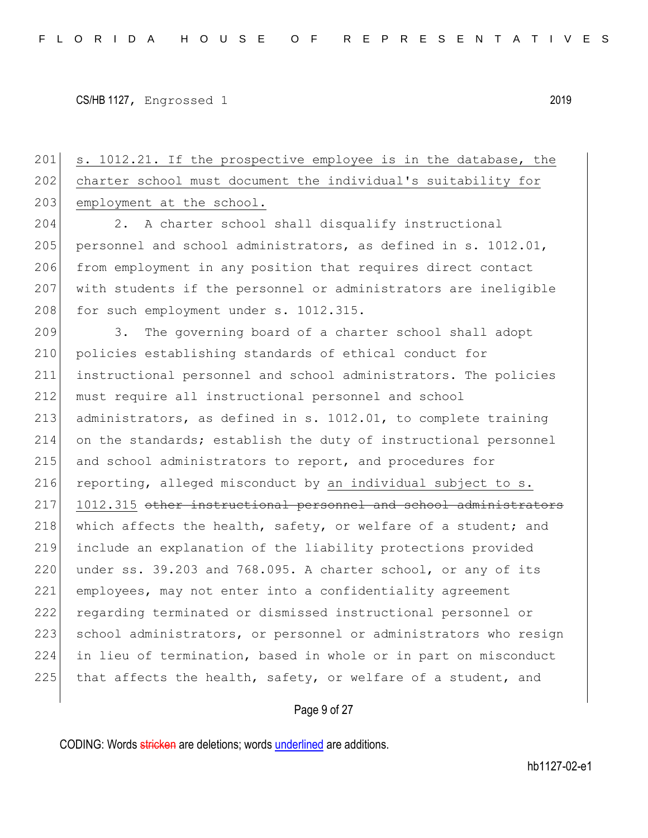201 s. 1012.21. If the prospective employee is in the database, the 202 charter school must document the individual's suitability for 203 employment at the school. 204 2. A charter school shall disqualify instructional 205 personnel and school administrators, as defined in s.  $1012.01$ , 206 from employment in any position that requires direct contact 207 with students if the personnel or administrators are ineligible 208 for such employment under s. 1012.315. 209 3. The governing board of a charter school shall adopt 210 policies establishing standards of ethical conduct for 211 instructional personnel and school administrators. The policies 212 must require all instructional personnel and school 213 administrators, as defined in s. 1012.01, to complete training 214 on the standards; establish the duty of instructional personnel 215 and school administrators to report, and procedures for 216 reporting, alleged misconduct by an individual subject to s. 217 1012.315 other instructional personnel and school administrators 218 which affects the health, safety, or welfare of a student; and 219 include an explanation of the liability protections provided 220 under ss.  $39.203$  and  $768.095$ . A charter school, or any of its 221 employees, may not enter into a confidentiality agreement 222 regarding terminated or dismissed instructional personnel or 223 school administrators, or personnel or administrators who resign 224 in lieu of termination, based in whole or in part on misconduct 225 that affects the health, safety, or welfare of a student, and

## Page 9 of 27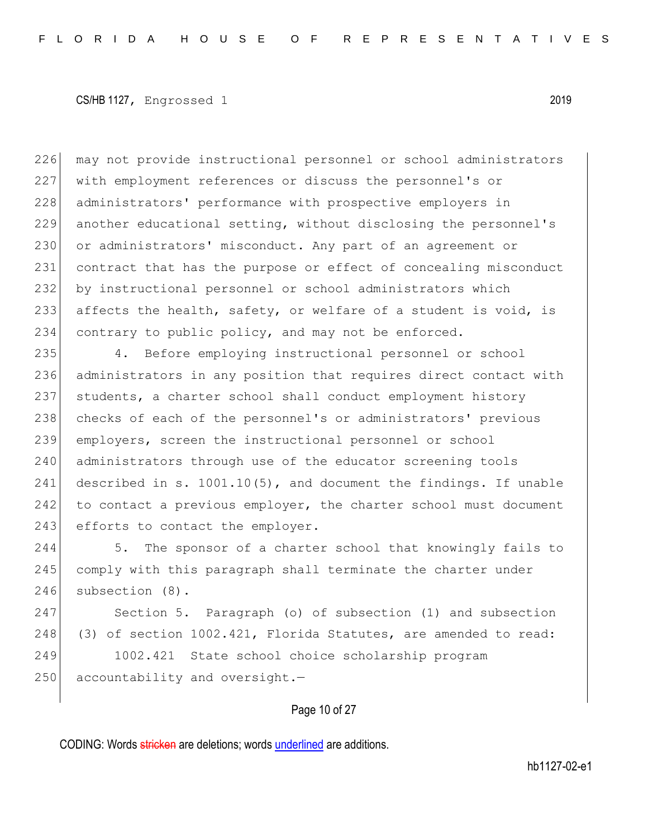226 may not provide instructional personnel or school administrators 227 with employment references or discuss the personnel's or 228 administrators' performance with prospective employers in 229 another educational setting, without disclosing the personnel's 230 or administrators' misconduct. Any part of an agreement or 231 contract that has the purpose or effect of concealing misconduct 232 by instructional personnel or school administrators which 233 affects the health, safety, or welfare of a student is void, is 234 contrary to public policy, and may not be enforced.

235 4. Before employing instructional personnel or school 236 administrators in any position that requires direct contact with 237 students, a charter school shall conduct employment history 238 checks of each of the personnel's or administrators' previous 239 employers, screen the instructional personnel or school 240 administrators through use of the educator screening tools 241 described in s.  $1001.10(5)$ , and document the findings. If unable 242 to contact a previous employer, the charter school must document 243 efforts to contact the employer.

244 5. The sponsor of a charter school that knowingly fails to 245 comply with this paragraph shall terminate the charter under 246 subsection (8).

247 Section 5. Paragraph (o) of subsection (1) and subsection 248 (3) of section 1002.421, Florida Statutes, are amended to read: 249 1002.421 State school choice scholarship program

 $250$  accountability and oversight. $-$ 

# Page 10 of 27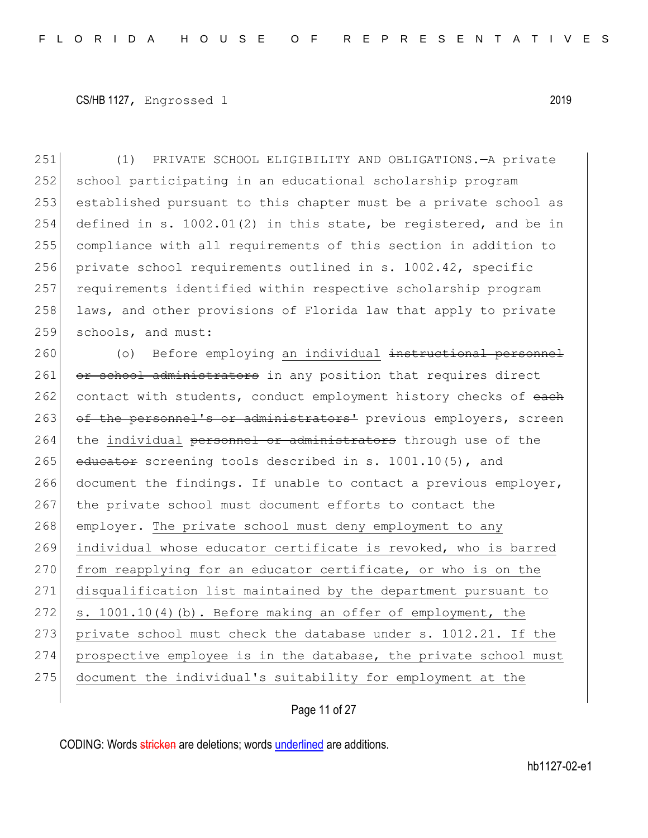(1) PRIVATE SCHOOL ELIGIBILITY AND OBLIGATIONS.—A private school participating in an educational scholarship program established pursuant to this chapter must be a private school as defined in s. 1002.01(2) in this state, be registered, and be in compliance with all requirements of this section in addition to 256 private school requirements outlined in s. 1002.42, specific requirements identified within respective scholarship program 258 laws, and other provisions of Florida law that apply to private 259 schools, and must:

260 (o) Before employing an individual instructional personnel 261 or school administrators in any position that requires direct 262 contact with students, conduct employment history checks of each 263 of the personnel's or administrators' previous employers, screen 264 the individual personnel or administrators through use of the 265 educator screening tools described in s.  $1001.10(5)$ , and 266 document the findings. If unable to contact a previous employer, 267 the private school must document efforts to contact the 268 employer. The private school must deny employment to any 269 individual whose educator certificate is revoked, who is barred 270 from reapplying for an educator certificate, or who is on the 271 disqualification list maintained by the department pursuant to 272 s. 1001.10(4)(b). Before making an offer of employment, the 273 private school must check the database under s. 1012.21. If the 274 prospective employee is in the database, the private school must 275 document the individual's suitability for employment at the

Page 11 of 27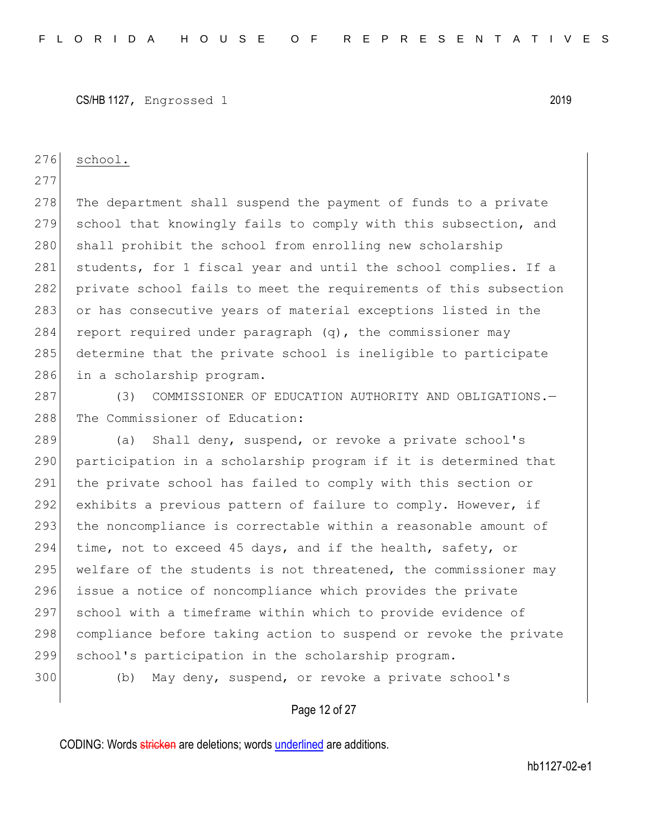# 276 school. 277 278 The department shall suspend the payment of funds to a private 279 school that knowingly fails to comply with this subsection, and 280 shall prohibit the school from enrolling new scholarship 281 students, for 1 fiscal year and until the school complies. If a 282 private school fails to meet the requirements of this subsection 283 or has consecutive years of material exceptions listed in the 284 report required under paragraph  $(q)$ , the commissioner may 285 determine that the private school is ineligible to participate 286 in a scholarship program. 287 (3) COMMISSIONER OF EDUCATION AUTHORITY AND OBLIGATIONS. 288 The Commissioner of Education:

289 (a) Shall deny, suspend, or revoke a private school's 290 participation in a scholarship program if it is determined that 291 the private school has failed to comply with this section or 292 exhibits a previous pattern of failure to comply. However, if 293 the noncompliance is correctable within a reasonable amount of 294 time, not to exceed 45 days, and if the health, safety, or 295 welfare of the students is not threatened, the commissioner may 296 issue a notice of noncompliance which provides the private 297 school with a timeframe within which to provide evidence of 298 compliance before taking action to suspend or revoke the private 299 school's participation in the scholarship program.

300 (b) May deny, suspend, or revoke a private school's

#### Page 12 of 27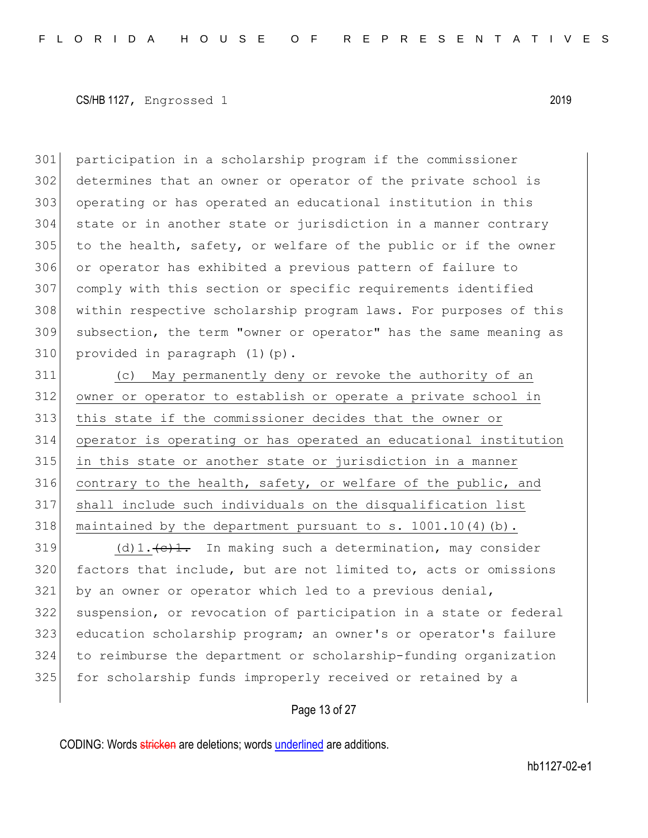participation in a scholarship program if the commissioner determines that an owner or operator of the private school is operating or has operated an educational institution in this state or in another state or jurisdiction in a manner contrary to the health, safety, or welfare of the public or if the owner or operator has exhibited a previous pattern of failure to comply with this section or specific requirements identified within respective scholarship program laws. For purposes of this subsection, the term "owner or operator" has the same meaning as provided in paragraph  $(1)(p)$ .

 (c) May permanently deny or revoke the authority of an owner or operator to establish or operate a private school in this state if the commissioner decides that the owner or operator is operating or has operated an educational institution in this state or another state or jurisdiction in a manner contrary to the health, safety, or welfare of the public, and shall include such individuals on the disqualification list 318 maintained by the department pursuant to s.  $1001.10(4)(b)$ .

 (d)1.  $\left(\frac{e}{1} \cdot \frac{1}{1} \cdot e\right)$  In making such a determination, may consider 320 factors that include, but are not limited to, acts or omissions by an owner or operator which led to a previous denial, suspension, or revocation of participation in a state or federal education scholarship program; an owner's or operator's failure to reimburse the department or scholarship-funding organization 325 for scholarship funds improperly received or retained by a

#### Page 13 of 27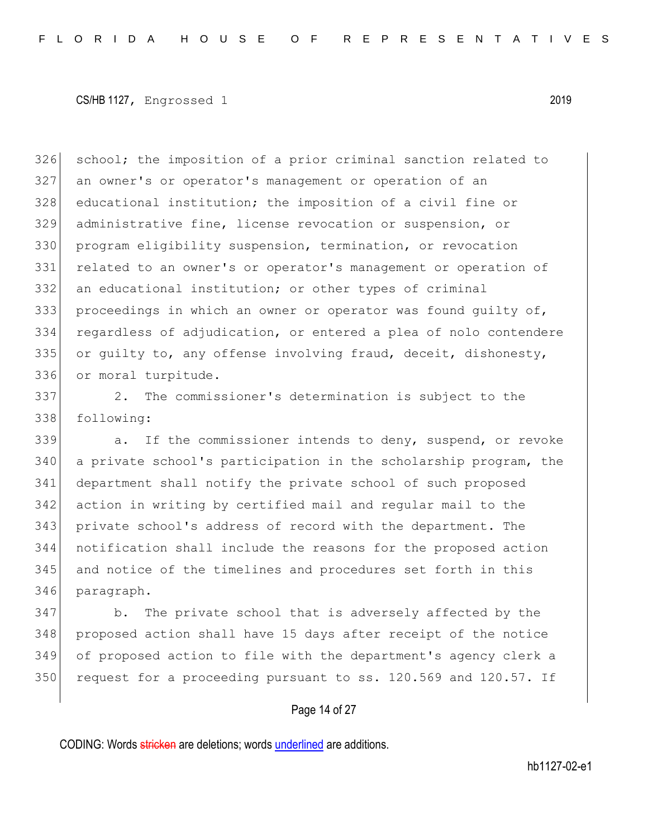326 school; the imposition of a prior criminal sanction related to an owner's or operator's management or operation of an 328 educational institution; the imposition of a civil fine or administrative fine, license revocation or suspension, or program eligibility suspension, termination, or revocation related to an owner's or operator's management or operation of an educational institution; or other types of criminal proceedings in which an owner or operator was found guilty of, regardless of adjudication, or entered a plea of nolo contendere or guilty to, any offense involving fraud, deceit, dishonesty, or moral turpitude.

 2. The commissioner's determination is subject to the following:

339 a. If the commissioner intends to deny, suspend, or revoke a private school's participation in the scholarship program, the department shall notify the private school of such proposed action in writing by certified mail and regular mail to the private school's address of record with the department. The notification shall include the reasons for the proposed action and notice of the timelines and procedures set forth in this paragraph.

347 b. The private school that is adversely affected by the proposed action shall have 15 days after receipt of the notice of proposed action to file with the department's agency clerk a 350 request for a proceeding pursuant to ss.  $120.569$  and  $120.57$ . If

#### Page 14 of 27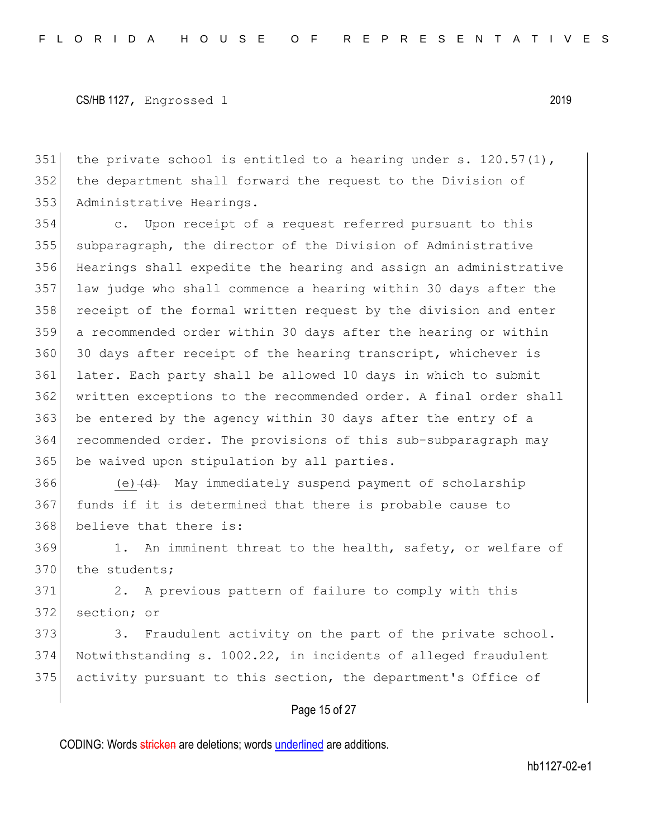351 the private school is entitled to a hearing under s.  $120.57(1)$ , 352 the department shall forward the request to the Division of 353 Administrative Hearings.

 c. Upon receipt of a request referred pursuant to this subparagraph, the director of the Division of Administrative Hearings shall expedite the hearing and assign an administrative law judge who shall commence a hearing within 30 days after the 358 receipt of the formal written request by the division and enter a recommended order within 30 days after the hearing or within 360 30 days after receipt of the hearing transcript, whichever is later. Each party shall be allowed 10 days in which to submit written exceptions to the recommended order. A final order shall 363 be entered by the agency within 30 days after the entry of a recommended order. The provisions of this sub-subparagraph may 365 be waived upon stipulation by all parties.

366 (e) (d) May immediately suspend payment of scholarship 367 funds if it is determined that there is probable cause to 368 believe that there is:

369 1. An imminent threat to the health, safety, or welfare of 370 the students;

371 2. A previous pattern of failure to comply with this 372 section; or

373 3. Fraudulent activity on the part of the private school. 374 Notwithstanding s. 1002.22, in incidents of alleged fraudulent 375 activity pursuant to this section, the department's Office of

## Page 15 of 27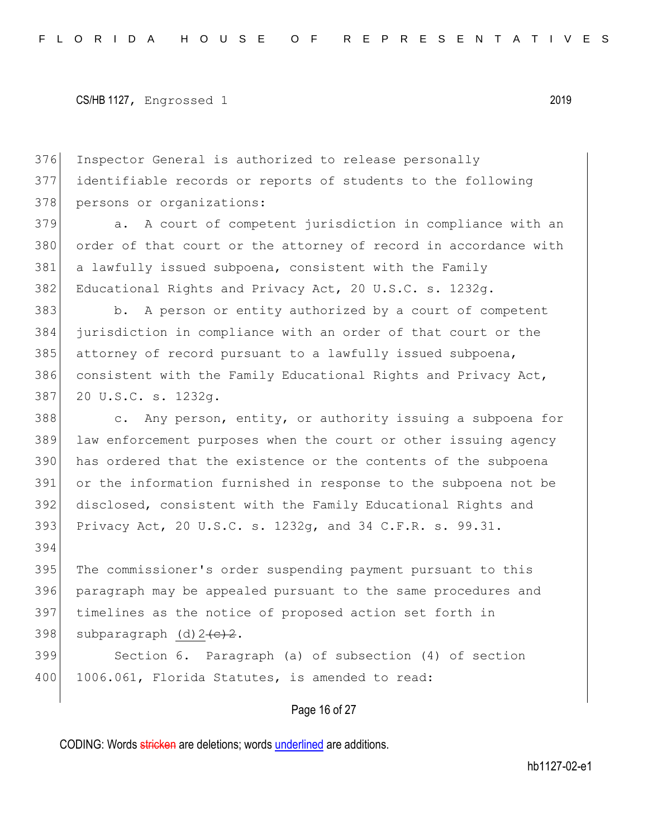394

376 Inspector General is authorized to release personally 377 identifiable records or reports of students to the following 378 persons or organizations:

379 a. A court of competent jurisdiction in compliance with an 380 order of that court or the attorney of record in accordance with 381 a lawfully issued subpoena, consistent with the Family 382 Educational Rights and Privacy Act, 20 U.S.C. s. 1232g.

383 b. A person or entity authorized by a court of competent 384 jurisdiction in compliance with an order of that court or the 385 attorney of record pursuant to a lawfully issued subpoena, 386 consistent with the Family Educational Rights and Privacy Act, 387 20 U.S.C. s. 1232g.

388 c. Any person, entity, or authority issuing a subpoena for 389 law enforcement purposes when the court or other issuing agency has ordered that the existence or the contents of the subpoena or the information furnished in response to the subpoena not be disclosed, consistent with the Family Educational Rights and Privacy Act, 20 U.S.C. s. 1232g, and 34 C.F.R. s. 99.31.

 The commissioner's order suspending payment pursuant to this paragraph may be appealed pursuant to the same procedures and timelines as the notice of proposed action set forth in 398 subparagraph  $(d) 2~~(c)~~ 2.$ 

399 Section 6. Paragraph (a) of subsection (4) of section 400 1006.061, Florida Statutes, is amended to read:

Page 16 of 27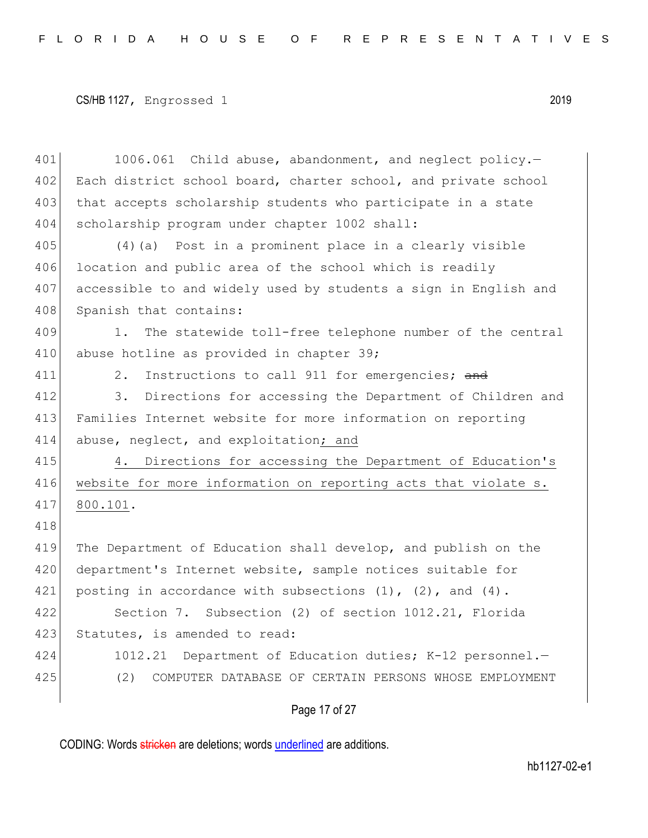401 1006.061 Child abuse, abandonment, and neglect policy. 402 Each district school board, charter school, and private school 403 that accepts scholarship students who participate in a state 404 scholarship program under chapter 1002 shall: 405 (4)(a) Post in a prominent place in a clearly visible 406 location and public area of the school which is readily 407 accessible to and widely used by students a sign in English and 408 Spanish that contains: 409 1. The statewide toll-free telephone number of the central 410 abuse hotline as provided in chapter 39; 411 2. Instructions to call 911 for emergencies; and 412 3. Directions for accessing the Department of Children and 413 Families Internet website for more information on reporting 414 abuse, neglect, and exploitation; and 415 4. Directions for accessing the Department of Education's 416 website for more information on reporting acts that violate s. 417 800.101. 418 419 The Department of Education shall develop, and publish on the 420 department's Internet website, sample notices suitable for 421 posting in accordance with subsections  $(1)$ ,  $(2)$ , and  $(4)$ . 422 Section 7. Subsection (2) of section 1012.21, Florida 423 Statutes, is amended to read: 424 1012.21 Department of Education duties; K-12 personnel.— 425 (2) COMPUTER DATABASE OF CERTAIN PERSONS WHOSE EMPLOYMENT

Page 17 of 27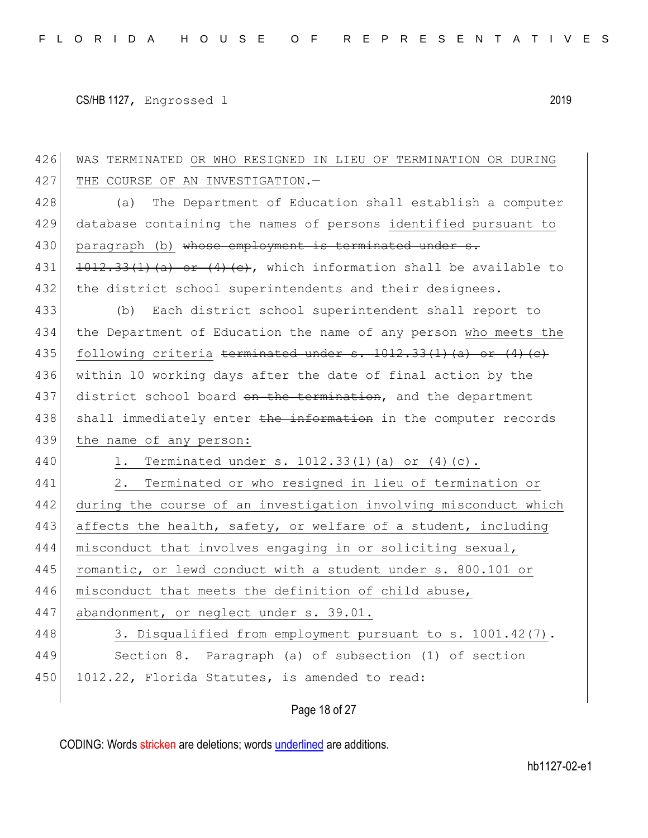426 WAS TERMINATED OR WHO RESIGNED IN LIEU OF TERMINATION OR DURING 427 THE COURSE OF AN INVESTIGATION.-428 (a) The Department of Education shall establish a computer 429 database containing the names of persons identified pursuant to 430 paragraph (b) whose employment is terminated under s. 431  $\left| \frac{1012.33(1)(a) + 4(4)(c)}{a} \right|$ , which information shall be available to 432 the district school superintendents and their designees. 433 (b) Each district school superintendent shall report to 434 the Department of Education the name of any person who meets the 435 following criteria terminated under s.  $1012.33(1)(a)$  or  $(4)(e)$ 436 within 10 working days after the date of final action by the 437 district school board on the termination, and the department 438 shall immediately enter the information in the computer records 439 the name of any person: 440 1. Terminated under s. 1012.33(1)(a) or (4)(c). 441 2. Terminated or who resigned in lieu of termination or 442 during the course of an investigation involving misconduct which 443 affects the health, safety, or welfare of a student, including 444 misconduct that involves engaging in or soliciting sexual, 445 romantic, or lewd conduct with a student under s. 800.101 or 446 misconduct that meets the definition of child abuse, 447 abandonment, or neglect under s. 39.01. 448 3. Disqualified from employment pursuant to s. 1001.42(7). 449 Section 8. Paragraph (a) of subsection (1) of section 450 1012.22, Florida Statutes, is amended to read:

# Page 18 of 27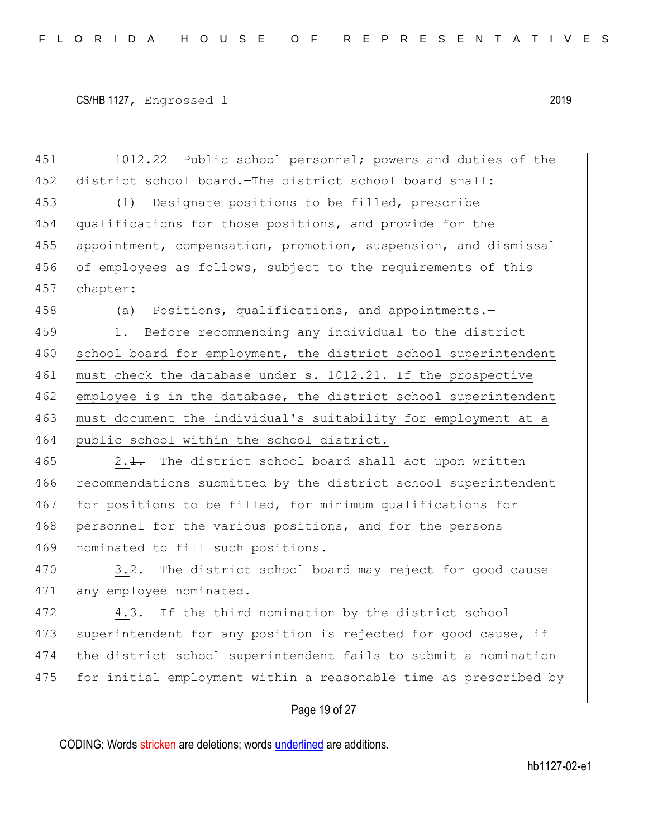451 1012.22 Public school personnel; powers and duties of the 452 district school board.—The district school board shall: 453 (1) Designate positions to be filled, prescribe 454 qualifications for those positions, and provide for the 455 appointment, compensation, promotion, suspension, and dismissal 456 of employees as follows, subject to the requirements of this 457 chapter:

458 (a) Positions, qualifications, and appointments.

459 1. Before recommending any individual to the district 460 school board for employment, the district school superintendent 461 must check the database under s. 1012.21. If the prospective 462 employee is in the database, the district school superintendent 463 must document the individual's suitability for employment at a 464 public school within the school district.

 $465$  2.1. The district school board shall act upon written 466 recommendations submitted by the district school superintendent 467 for positions to be filled, for minimum qualifications for 468 personnel for the various positions, and for the persons 469 nominated to fill such positions.

470  $\vert$  3.2. The district school board may reject for good cause 471 any employee nominated.

472 4.3. If the third nomination by the district school 473 superintendent for any position is rejected for good cause, if 474 the district school superintendent fails to submit a nomination 475 for initial employment within a reasonable time as prescribed by

## Page 19 of 27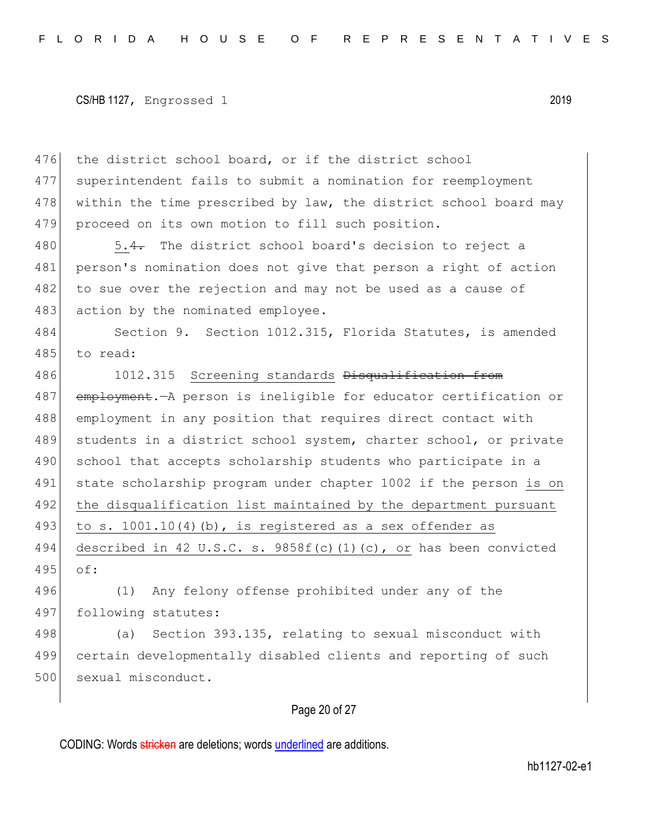476 the district school board, or if the district school 477 superintendent fails to submit a nomination for reemployment 478 within the time prescribed by law, the district school board may 479 proceed on its own motion to fill such position.

480 5.4. The district school board's decision to reject a 481 person's nomination does not give that person a right of action 482 to sue over the rejection and may not be used as a cause of 483 action by the nominated employee.

484 Section 9. Section 1012.315, Florida Statutes, is amended 485 to read:

486 1012.315 Screening standards Disqualification from 487 employment.—A person is ineligible for educator certification or 488 employment in any position that requires direct contact with 489 students in a district school system, charter school, or private 490 school that accepts scholarship students who participate in a 491 state scholarship program under chapter 1002 if the person is on 492 the disqualification list maintained by the department pursuant 493 to s.  $1001.10(4)$  (b), is registered as a sex offender as 494 described in 42 U.S.C. s.  $9858f(c)(1)(c)$ , or has been convicted 495 of: 496 (1) Any felony offense prohibited under any of the

497 following statutes:

498 (a) Section 393.135, relating to sexual misconduct with 499 certain developmentally disabled clients and reporting of such 500 sexual misconduct.

# Page 20 of 27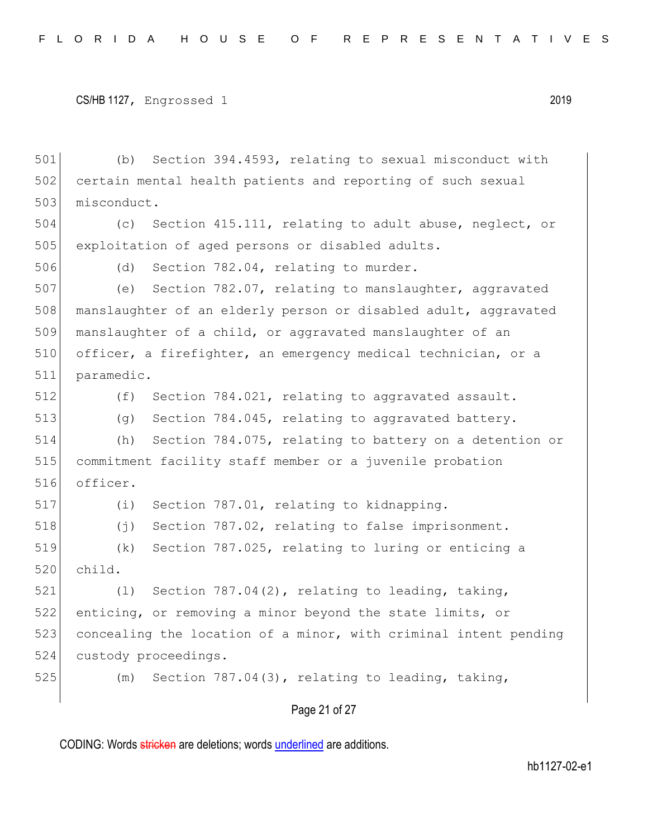```
CS/HB 1127, Engrossed 1 2019
```
501 (b) Section 394.4593, relating to sexual misconduct with 502 certain mental health patients and reporting of such sexual 503 misconduct. 504 (c) Section 415.111, relating to adult abuse, neglect, or 505 exploitation of aged persons or disabled adults. 506 (d) Section 782.04, relating to murder. 507 (e) Section 782.07, relating to manslaughter, aggravated 508 manslaughter of an elderly person or disabled adult, aggravated 509 manslaughter of a child, or aggravated manslaughter of an 510 officer, a firefighter, an emergency medical technician, or a 511 paramedic. 512 (f) Section 784.021, relating to aggravated assault. 513 (g) Section 784.045, relating to aggravated battery. 514 (h) Section 784.075, relating to battery on a detention or 515 commitment facility staff member or a juvenile probation 516 officer. 517 (i) Section 787.01, relating to kidnapping. 518 (j) Section 787.02, relating to false imprisonment. 519 (k) Section 787.025, relating to luring or enticing a 520 child. 521  $(1)$  Section 787.04(2), relating to leading, taking, 522 enticing, or removing a minor beyond the state limits, or 523 concealing the location of a minor, with criminal intent pending 524 custody proceedings. 525  $(m)$  Section 787.04(3), relating to leading, taking,

# Page 21 of 27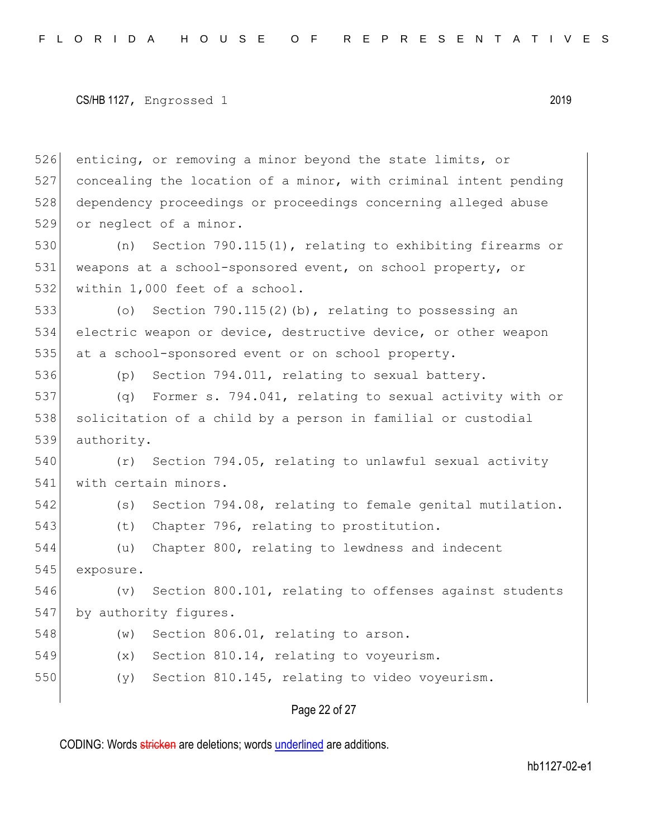```
CS/HB 1127, Engrossed 1 2019
```
 enticing, or removing a minor beyond the state limits, or concealing the location of a minor, with criminal intent pending dependency proceedings or proceedings concerning alleged abuse 529 or neglect of a minor.

530 (n) Section 790.115(1), relating to exhibiting firearms or 531 weapons at a school-sponsored event, on school property, or 532 within 1,000 feet of a school.

533 (o) Section 790.115(2)(b), relating to possessing an 534 electric weapon or device, destructive device, or other weapon 535 at a school-sponsored event or on school property.

536 (p) Section 794.011, relating to sexual battery.

537 (q) Former s. 794.041, relating to sexual activity with or 538 solicitation of a child by a person in familial or custodial 539 authority.

540 (r) Section 794.05, relating to unlawful sexual activity 541 with certain minors.

542 (s) Section 794.08, relating to female genital mutilation.

543 (t) Chapter 796, relating to prostitution.

544 (u) Chapter 800, relating to lewdness and indecent 545 exposure.

546 (v) Section 800.101, relating to offenses against students 547 by authority figures.

- 548 (w) Section 806.01, relating to arson.
- 549 (x) Section 810.14, relating to voyeurism.

550 (y) Section 810.145, relating to video voyeurism.

#### Page 22 of 27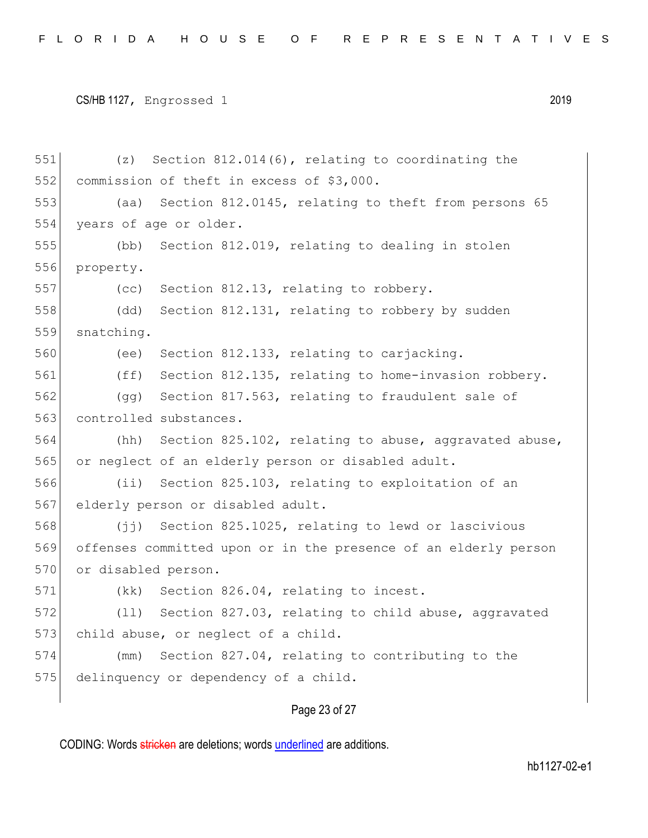551 (z) Section 812.014(6), relating to coordinating the 552 commission of theft in excess of \$3,000. 553 (aa) Section 812.0145, relating to theft from persons 65 554 years of age or older. 555 (bb) Section 812.019, relating to dealing in stolen 556 property. 557 (cc) Section 812.13, relating to robbery. 558 (dd) Section 812.131, relating to robbery by sudden 559 snatching. 560 (ee) Section 812.133, relating to carjacking. 561 (ff) Section 812.135, relating to home-invasion robbery. 562 (gg) Section 817.563, relating to fraudulent sale of 563 controlled substances. 564 (hh) Section 825.102, relating to abuse, aggravated abuse, 565 or neglect of an elderly person or disabled adult. 566 (ii) Section 825.103, relating to exploitation of an 567 elderly person or disabled adult. 568 (jj) Section 825.1025, relating to lewd or lascivious 569 offenses committed upon or in the presence of an elderly person 570 or disabled person. 571 (kk) Section 826.04, relating to incest. 572 (11) Section 827.03, relating to child abuse, aggravated 573 child abuse, or neglect of a child. 574 (mm) Section 827.04, relating to contributing to the 575 delinquency or dependency of a child.

# Page 23 of 27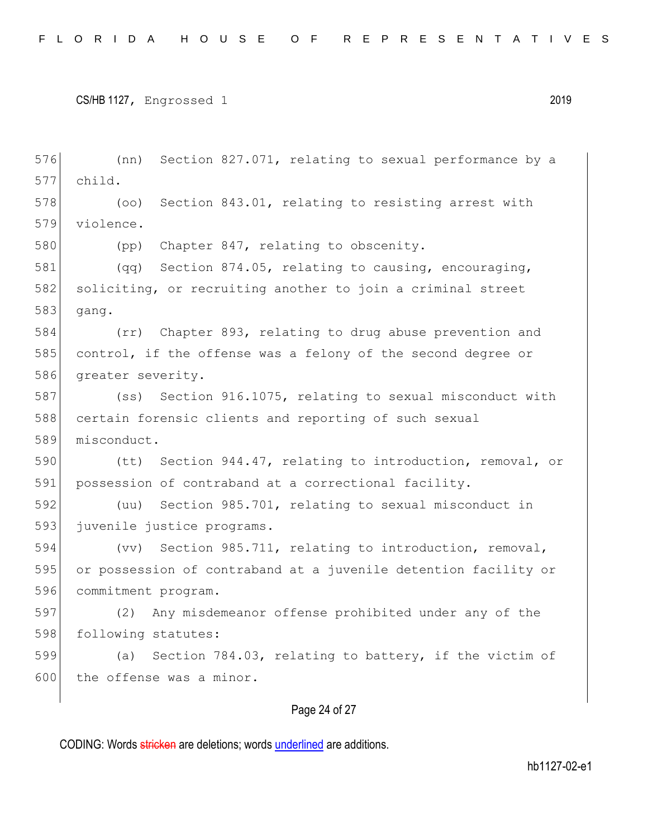576 (nn) Section 827.071, relating to sexual performance by a 577 child. 578 (oo) Section 843.01, relating to resisting arrest with 579 violence. 580 (pp) Chapter 847, relating to obscenity. 581 (qq) Section 874.05, relating to causing, encouraging, 582 soliciting, or recruiting another to join a criminal street 583 gang. 584 (rr) Chapter 893, relating to drug abuse prevention and 585 control, if the offense was a felony of the second degree or 586 greater severity. 587 (ss) Section 916.1075, relating to sexual misconduct with 588 certain forensic clients and reporting of such sexual 589 misconduct. 590 (tt) Section 944.47, relating to introduction, removal, or 591 possession of contraband at a correctional facility. 592 (uu) Section 985.701, relating to sexual misconduct in 593 juvenile justice programs. 594 (vv) Section 985.711, relating to introduction, removal, 595 or possession of contraband at a juvenile detention facility or 596 commitment program. 597 (2) Any misdemeanor offense prohibited under any of the 598 following statutes: 599 (a) Section 784.03, relating to battery, if the victim of 600 the offense was a minor.

# Page 24 of 27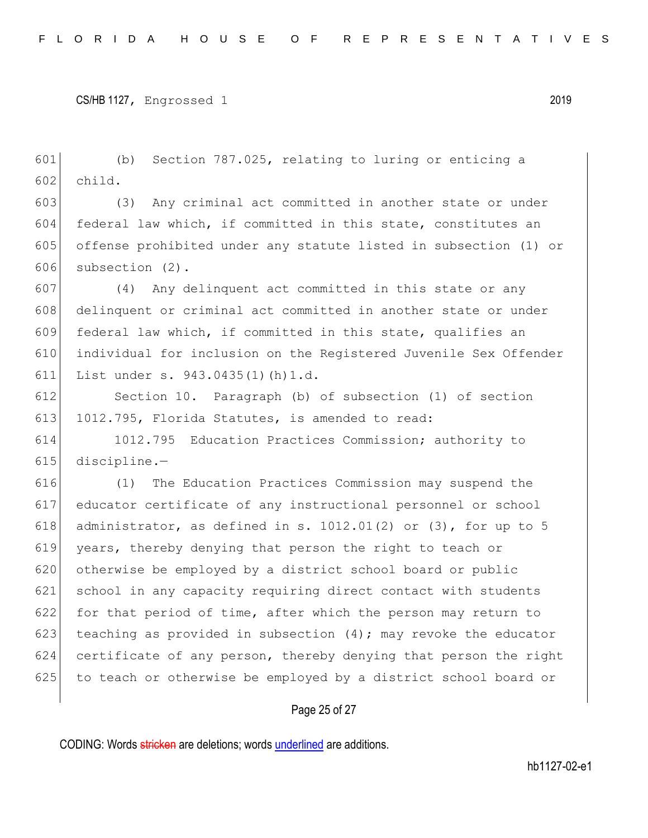601 (b) Section 787.025, relating to luring or enticing a 602 child.

 (3) Any criminal act committed in another state or under federal law which, if committed in this state, constitutes an offense prohibited under any statute listed in subsection (1) or subsection (2).

607 (4) Any delinquent act committed in this state or any 608 delinquent or criminal act committed in another state or under 609 federal law which, if committed in this state, qualifies an 610 individual for inclusion on the Registered Juvenile Sex Offender 611 List under s. 943.0435(1)(h)1.d.

612 Section 10. Paragraph (b) of subsection (1) of section 613 1012.795, Florida Statutes, is amended to read:

614 1012.795 Education Practices Commission; authority to 615 discipline.—

616 (1) The Education Practices Commission may suspend the 617 educator certificate of any instructional personnel or school 618 administrator, as defined in s.  $1012.01(2)$  or  $(3)$ , for up to 5 619 years, thereby denying that person the right to teach or 620 otherwise be employed by a district school board or public 621 school in any capacity requiring direct contact with students 622 for that period of time, after which the person may return to 623 teaching as provided in subsection  $(4)$ ; may revoke the educator 624 certificate of any person, thereby denying that person the right 625 to teach or otherwise be employed by a district school board or

## Page 25 of 27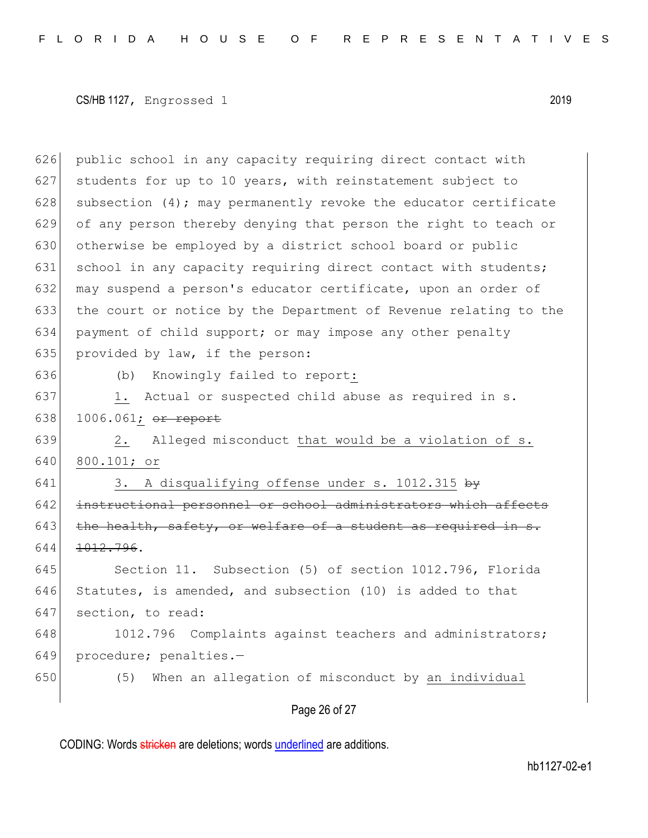626 public school in any capacity requiring direct contact with 627 students for up to 10 years, with reinstatement subject to 628 subsection  $(4)$ ; may permanently revoke the educator certificate 629 of any person thereby denying that person the right to teach or 630 otherwise be employed by a district school board or public 631 school in any capacity requiring direct contact with students; 632 may suspend a person's educator certificate, upon an order of 633 the court or notice by the Department of Revenue relating to the 634 payment of child support; or may impose any other penalty 635 provided by law, if the person: 636 (b) Knowingly failed to report: 637 1. Actual or suspected child abuse as required in s.

638 1006.061; or report

639 2. Alleged misconduct that would be a violation of s. 640 800.101; or

641 3. A disqualifying offense under s. 1012.315  $by$ 642 instructional personnel or school administrators which affects  $643$  the health, safety, or welfare of a student as required in 644 <del>1012.796</del>.

645 Section 11. Subsection (5) of section 1012.796, Florida 646 Statutes, is amended, and subsection  $(10)$  is added to that 647 section, to read:

648 1012.796 Complaints against teachers and administrators; 649 procedure; penalties.-

650 (5) When an allegation of misconduct by an individual

Page 26 of 27